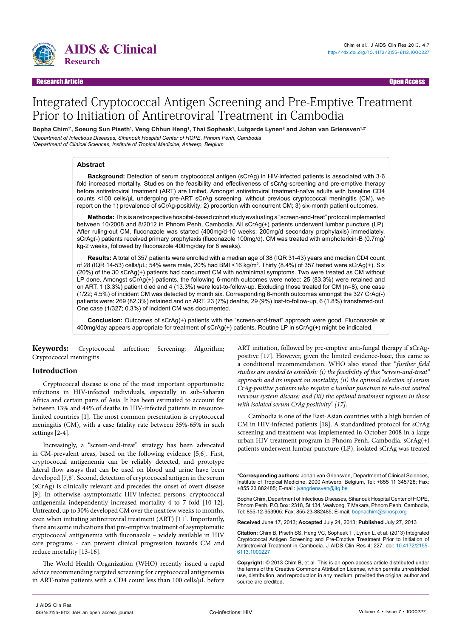

#### Research Article Open Access

# Integrated Cryptococcal Antigen Screening and Pre-Emptive Treatment Prior to Initiation of Antiretroviral Treatment in Cambodia

Bopha Chim<sup>ı</sup>', Soeung Sun Piseth<sup>ı</sup>, Veng Chhun Heng<sup>ı</sup>, Thai Sopheak<sup>ı</sup>, Lutgarde Lynen<sup>2</sup> and Johan van Griensven<sup>1,2</sup>' *1 Department of Infectious Diseases, Sihanouk Hospital Center of HOPE, Phnom Penh, Cambodia 2 Department of Clinical Sciences, Institute of Tropical Medicine, Antwerp, Belgium*

#### **Abstract**

**Background:** Detection of serum cryptococcal antigen (sCrAg) in HIV-infected patients is associated with 3-6 fold increased mortality. Studies on the feasibility and effectiveness of sCrAg-screening and pre-emptive therapy before antiretroviral treatment (ART) are limited. Amongst antiretroviral treatment-naïve adults with baseline CD4 counts <100 cells/µL undergoing pre-ART sCrAg screening, without previous cryptococcal meningitis (CM), we report on the 1) prevalence of sCrAg-positivity; 2) proportion with concurrent CM; 3) six-month patient outcomes.

**Methods:** This is a retrospective hospital-based cohort study evaluating a "screen-and-treat" protocol implemented between 10/2008 and 8/2012 in Phnom Penh, Cambodia. All sCrAg(+) patients underwent lumbar puncture (LP). After ruling-out CM, fluconazole was started (400mg/d-10 weeks; 200mg/d secondary prophylaxis) immediately. sCrAg(-) patients received primary prophylaxis (fluconazole 100mg/d). CM was treated with amphotericin-B (0.7mg/ kg-2 weeks, followed by fluconazole 400mg/day for 8 weeks).

**Results:** A total of 357 patients were enrolled with a median age of 38 (IQR 31-43) years and median CD4 count of 28 (IQR 14-53) cells/µL; 54% were male, 20% had BMI <16 kg/m2 . Thirty (8.4%) of 357 tested were sCrAg(+). Six (20%) of the 30 sCrAg(+) patients had concurrent CM with no/minimal symptoms. Two were treated as CM without LP done. Amongst sCrAg(+) patients, the following 6-month outcomes were noted: 25 (83.3%) were retained and on ART, 1 (3.3%) patient died and 4 (13.3%) were lost-to-follow-up. Excluding those treated for CM (n=8), one case (1/22; 4.5%) of incident CM was detected by month six. Corresponding 6-month outcomes amongst the 327 CrAg(-) patients were: 269 (82.3%) retained and on ART, 23 (7%) deaths, 29 (9%) lost-to-follow-up, 6 (1.8%) transferred-out. One case (1/327; 0.3%) of incident CM was documented.

**Conclusion:** Outcomes of sCrAg(+) patients with the "screen-and-treat" approach were good. Fluconazole at 400mg/day appears appropriate for treatment of sCrAg(+) patients. Routine LP in sCrAg(+) might be indicated.

**Keywords:** Cryptococcal infection; Screening; Algorithm; Cryptococcal meningitis

#### **Introduction**

Cryptococcal disease is one of the most important opportunistic infections in HIV-infected individuals, especially in sub-Saharan Africa and certain parts of Asia. It has been estimated to account for between 13% and 44% of deaths in HIV-infected patients in resourcelimited countries [1]. The most common presentation is cryptococcal meningitis (CM), with a case fatality rate between 35%-65% in such settings [2-4].

Increasingly, a "screen-and-treat" strategy has been advocated in CM-prevalent areas, based on the following evidence [5,6]. First, cryptococcal antigenemia can be reliably detected, and prototype lateral flow assays that can be used on blood and urine have been developed [7,8]. Second, detection of cryptococcal antigen in the serum (sCrAg) is clinically relevant and precedes the onset of overt disease [9]. In otherwise asymptomatic HIV-infected persons, cryptococcal antigenemia independently increased mortality 4 to 7 fold [10-12]. Untreated, up to 30% developed CM over the next few weeks to months, even when initiating antiretroviral treatment (ART) [11]. Importantly, there are some indications that pre-emptive treatment of asymptomatic cryptococcal antigenemia with fluconazole – widely available in HIV care programs - can prevent clinical progression towards CM and reduce mortality [13-16].

The World Health Organization (WHO) recently issued a rapid advice recommending targeted screening for cryptococcal antigenemia in ART-naïve patients with a CD4 count less than 100 cells/µL before

ART initiation, followed by pre-emptive anti-fungal therapy if sCrAgpositive [17]. However, given the limited evidence-base, this came as a conditional recommendation. WHO also stated that "*further field studies are needed to establish: (i) the feasibility of this "screen-and-treat" approach and its impact on mortality; (ii) the optimal selection of serum CrAg-positive patients who require a lumbar puncture to rule-out central nervous system disease; and (iii) the optimal treatment regimen in those with isolated serum CrAg positivity" [17].*

Cambodia is one of the East-Asian countries with a high burden of CM in HIV-infected patients [18]. A standardized protocol for sCrAg screening and treatment was implemented in October 2008 in a large urban HIV treatment program in Phnom Penh, Cambodia. sCrAg(+) patients underwent lumbar puncture (LP), isolated sCrAg was treated

**\*Corresponding authors:** Johan van Griensven, Department of Clinical Sciences, Institute of Tropical Medicine, 2000 Antwerp, Belgium, Tel: +855 11 345728; Fax: +855 23 882485; E-mail: jvangriensven@itg.be

Bopha Chim, Department of Infectious Diseases, Sihanouk Hospital Center of HOPE, Phnom Penh, P.O.Box: 2318, St 134, Vealvong, 7 Makara, Phnom Penh, Cambodia, Tel: 855-12-953905; Fax: 855-23-882485; E-mail: bophachim@sihosp.org

**Received** June 17, 2013; **Accepted** July 24, 2013; **Published** July 27, 2013

**Citation:** Chim B, Piseth SS, Heng VC, Sopheak T , Lynen L, et al. (2013) Integrated Cryptococcal Antigen Screening and Pre-Emptive Treatment Prior to Initiation of Antiretroviral Treatment in Cambodia. J AIDS Clin Res 4: 227. doi: [10.4172/2155-](http://dx.doi.org/10.4172/2155-6113.1000227) [6113.1000](http://dx.doi.org/10.4172/2155-6113.1000227)227

**Copyright:** © 2013 Chim B, et al. This is an open-access article distributed under the terms of the Creative Commons Attribution License, which permits unrestricted use, distribution, and reproduction in any medium, provided the original author and source are credited.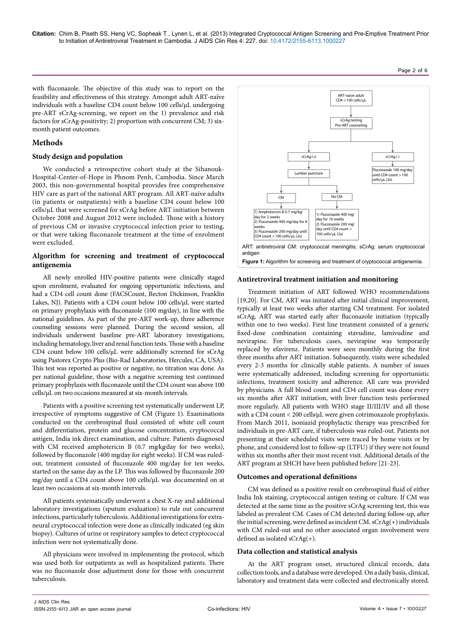**Citation:** Chim B, Piseth SS, Heng VC, Sopheak T , Lynen L, et al. (2013) Integrated Cryptococcal Antigen Screening and Pre-Emptive Treatment Prior to Initiation of Antiretroviral Treatment in Cambodia. J AIDS Clin Res 4: 227. doi: [10.4172/2155-6113.1000](http://dx.doi.org/10.4172/2155-6113.1000227)227

Page 2 of 6

with fluconazole. The objective of this study was to report on the feasibility and effectiveness of this strategy. Amongst adult ART-naïve individuals with a baseline CD4 count below 100 cells/µL undergoing pre-ART sCrAg-screening, we report on the 1) prevalence and risk factors for sCrAg-positivity; 2) proportion with concurrent CM; 3) sixmonth patient outcomes.

# **Methods**

### **Study design and population**

We conducted a retrospective cohort study at the Sihanouk-Hospital-Center-of-Hope in Phnom Penh, Cambodia. Since March 2003, this non-governmental hospital provides free comprehensive HIV care as part of the national ART program. All ART-naïve adults (in patients or outpatients) with a baseline CD4 count below 100 cells/µL that were screened for sCrAg before ART initiation between October 2008 and August 2012 were included. Those with a history of previous CM or invasive cryptococcal infection prior to testing, or that were taking fluconazole treatment at the time of enrolment were excluded.

# **Algorithm for screening and treatment of cryptococcal antigenemia**

All newly enrolled HIV-positive patients were clinically staged upon enrolment, evaluated for ongoing opportunistic infections, and had a CD4 cell count done (FACSCount, Becton Dickinson, Franklin Lakes, NJ). Patients with a CD4 count below 100 cells/µL were started on primary prophylaxis with fluconazole (100 mg⁄day), in line with the national guidelines. As part of the pre-ART work-up, three adherence counseling sessions were planned. During the second session, all individuals underwent baseline pre-ART laboratory investigations, including hematology, liver and renal function tests. Those with a baseline CD4 count below 100 cells/µL were additionally screened for sCrAg using Pastorex Crypto Plus (Bio-Rad Laboratories, Hercules, CA, USA). This test was reported as positive or negative, no titration was done. As per national guideline, those with a negative screening test continued primary prophylaxis with fluconazole until the CD4 count was above 100 cells/µL on two occasions measured at six-month intervals.

Patients with a positive screening test systematically underwent LP, irrespective of symptoms suggestive of CM (Figure 1). Examinations conducted on the cerebrospinal fluid consisted of: white cell count and differentiation, protein and glucose concentration, cryptococcal antigen, India ink direct examination, and culture. Patients diagnosed with CM received amphotericin B (0.7 mg⁄kg⁄day for two weeks), followed by fluconazole (400 mg⁄day for eight weeks). If CM was ruledout, treatment consisted of fluconazole 400 mg/day for ten weeks, started on the same day as the LP. This was followed by fluconazole 200 mg/day until a CD4 count above 100 cells/µL was documented on at least two occasions at six-month intervals.

All patients systematically underwent a chest X-ray and additional laboratory investigations (sputum evaluation) to rule out concurrent infections, particularly tuberculosis. Additional investigations for extraneural cryptococcal infection were done as clinically indicated (eg skin biopsy). Cultures of urine or respiratory samples to detect cryptococcal infection were not systematically done.

All physicians were involved in implementing the protocol, which was used both for outpatients as well as hospitalized patients. There was no fluconazole dose adjustment done for those with concurrent tuberculosis.



#### **Antiretroviral treatment initiation and monitoring**

Treatment initiation of ART followed WHO recommendations [19,20]. For CM, ART was initiated after initial clinical improvement, typically at least two weeks after starting CM treatment. For isolated sCrAg, ART was started early after fluconazole initiation (typically within one to two weeks). First line treatment consisted of a generic fixed-dose combination containing stavudine, lamivudine and nevirapine. For tuberculosis cases, nevirapine was temporarily replaced by efavirenz. Patients were seen monthly during the first three months after ART initiation. Subsequently, visits were scheduled every 2-3 months for clinically stable patients. A number of issues were systematically addressed, including screening for opportunistic infections, treatment toxicity and adherence. All care was provided by physicians. A full blood count and CD4 cell count was done every six months after ART initiation, with liver function tests performed more regularly. All patients with WHO stage II/III/IV and all those with a CD4 count < 200 cells/µL were given cotrimoxazole prophylaxis. From March 2011, isoniazid prophylactic therapy was prescribed for individuals in pre-ART care, if tuberculosis was ruled-out. Patients not presenting at their scheduled visits were traced by home visits or by phone, and considered lost to follow-up (LTFU) if they were not found within six months after their most recent visit. Additional details of the ART program at SHCH have been published before [21-23].

### **Outcomes and operational definitions**

CM was defined as a positive result on cerebrospinal fluid of either India Ink staining, cryptococcal antigen testing or culture. If CM was detected at the same time as the positive sCrAg screening test, this was labeled as prevalent CM. Cases of CM detected during follow-up, after the initial screening, were defined as incident CM. sCrAg(+) individuals with CM ruled-out and no other associated organ involvement were defined as isolated sCrAg(+).

#### **Data collection and statistical analysis**

At the ART program onset, structured clinical records, data collection tools, and a database were developed. On a daily basis, clinical, laboratory and treatment data were collected and electronically stored.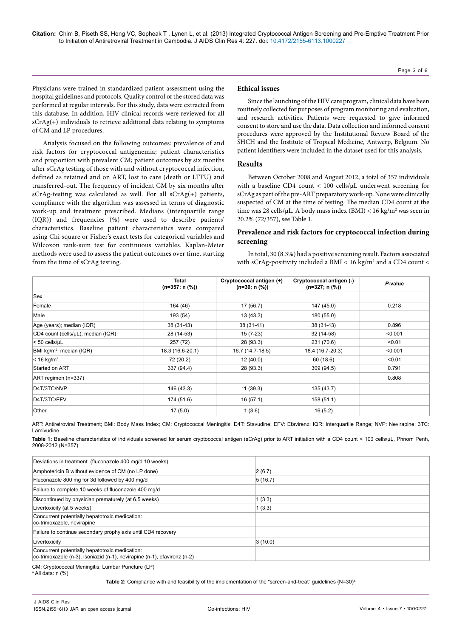Physicians were trained in standardized patient assessment using the hospital guidelines and protocols. Quality control of the stored data was performed at regular intervals. For this study, data were extracted from this database. In addition, HIV clinical records were reviewed for all sCrAg(+) individuals to retrieve additional data relating to symptoms of CM and LP procedures.

Analysis focused on the following outcomes: prevalence of and risk factors for cryptococcal antigenemia; patient characteristics and proportion with prevalent CM; patient outcomes by six months after sCrAg testing of those with and without cryptococcal infection, defined as retained and on ART, lost to care (death or LTFU) and transferred-out. The frequency of incident CM by six months after sCrAg-testing was calculated as well. For all sCrAg(+) patients, compliance with the algorithm was assessed in terms of diagnostic work-up and treatment prescribed. Medians (interquartile range (IQR)) and frequencies (%) were used to describe patients' characteristics. Baseline patient characteristics were compared using Chi square or Fisher's exact tests for categorical variables and Wilcoxon rank-sum test for continuous variables. Kaplan-Meier methods were used to assess the patient outcomes over time, starting from the time of sCrAg testing.

#### **Ethical issues**

Since the launching of the HIV care program, clinical data have been routinely collected for purposes of program monitoring and evaluation, and research activities. Patients were requested to give informed consent to store and use the data. Data collection and informed consent procedures were approved by the Institutional Review Board of the SHCH and the Institute of Tropical Medicine, Antwerp, Belgium. No patient identifiers were included in the dataset used for this analysis.

#### **Results**

Between October 2008 and August 2012, a total of 357 individuals with a baseline CD4 count < 100 cells/µL underwent screening for sCrAg as part of the pre-ART preparatory work-up. None were clinically suspected of CM at the time of testing. The median CD4 count at the time was 28 cells/ $\mu$ L. A body mass index (BMI) < 16 kg/m<sup>2</sup> was seen in 20.2% (72/357), see Table 1.

# **Prevalence and risk factors for cryptococcal infection during screening**

In total, 30 (8.3%) had a positive screening result. Factors associated with sCrAg-positivity included a BMI  $< 16$  kg/m<sup>2</sup> and a CD4 count  $<$ 

|                                      | <b>Total</b><br>$(n=357; n (%))$ | Cryptococcal antigen (+)<br>$(n=30; n (%))$ | Cryptococcal antigen (-)<br>$(n=327; n (%))$ | P-value |
|--------------------------------------|----------------------------------|---------------------------------------------|----------------------------------------------|---------|
| Sex                                  |                                  |                                             |                                              |         |
| Female                               | 164 (46)                         | 17 (56.7)                                   | 147 (45.0)                                   | 0.218   |
| Male                                 | 193 (54)                         | 13(43.3)                                    | 180 (55.0)                                   |         |
| Age (years); median (IQR)            | 38 (31-43)                       | 38 (31-41)                                  | 38 (31-43)                                   | 0.896   |
| CD4 count (cells/µL); median (IQR)   | 28 (14-53)                       | $15(7-23)$                                  | 32 (14-58)                                   | < 0.001 |
| $< 50$ cells/ $\mu$ L                | 257 (72)                         | 28 (93.3)                                   | 231 (70.6)                                   | < 0.01  |
| BMI kg/m <sup>2</sup> ; median (IQR) | 18.3 (16.6-20.1)                 | 16.7 (14.7-18.5)                            | 18.4 (16.7-20.3)                             | < 0.001 |
| $< 16$ kg/m <sup>2</sup>             | 72 (20.2)                        | 12(40.0)                                    | 60(18.6)                                     | < 0.01  |
| Started on ART                       | 337 (94.4)                       | 28 (93.3)                                   | 309(94.5)                                    | 0.791   |
| ART regimen (n=337)                  |                                  |                                             |                                              | 0.808   |
| D4T/3TC/NVP                          | 146 (43.3)                       | 11(39.3)                                    | 135 (43.7)                                   |         |
| D4T/3TC/EFV                          | 174 (51.6)                       | 16(57.1)                                    | 158 (51.1)                                   |         |
| Other                                | 17(5.0)                          | 1(3.6)                                      | 16(5.2)                                      |         |

ART: Antiretroviral Treatment; BMI: Body Mass Index; CM: Cryptococcal Meningitis; D4T: Stavudine; EFV: Efavirenz; IQR: Interquartile Range; NVP: Nevirapine; 3TC: Lamivudine

**Table 1:** Baseline characteristics of individuals screened for serum cryptococcal antigen (sCrAg) prior to ART initiation with a CD4 count < 100 cells/µL, Phnom Penh, 2008-2012 (N=357).

| Deviations in treatment (fluconazole 400 mg/d 10 weeks)                                                                    |         |  |
|----------------------------------------------------------------------------------------------------------------------------|---------|--|
| Amphotericin B without evidence of CM (no LP done)                                                                         | 2(6.7)  |  |
| Fluconazole 800 mg for 3d followed by 400 mg/d                                                                             | 5(16.7) |  |
| Failure to complete 10 weeks of fluconazole 400 mg/d                                                                       |         |  |
| Discontinued by physician prematurely (at 6.5 weeks)                                                                       | 1(3.3)  |  |
| Livertoxicity (at 5 weeks)                                                                                                 | 1(3.3)  |  |
| Concurrent potentially hepatotoxic medication:<br>co-trimoxazole, nevirapine                                               |         |  |
| Failure to continue secondary prophylaxis until CD4 recovery                                                               |         |  |
| Livertoxicity                                                                                                              | 3(10.0) |  |
| Concurrent potentially hepatotoxic medication:<br>co-trimoxazole (n-3), isoniazid (n-1), nevirapine (n-1), efavirenz (n-2) |         |  |

CM: Cryptococcal Meningitis; Lumbar Puncture (LP)

a All data: n (%)

Table 2: Compliance with and feasibility of the implementation of the "screen-and-treat" guidelines (N=30)<sup>a</sup>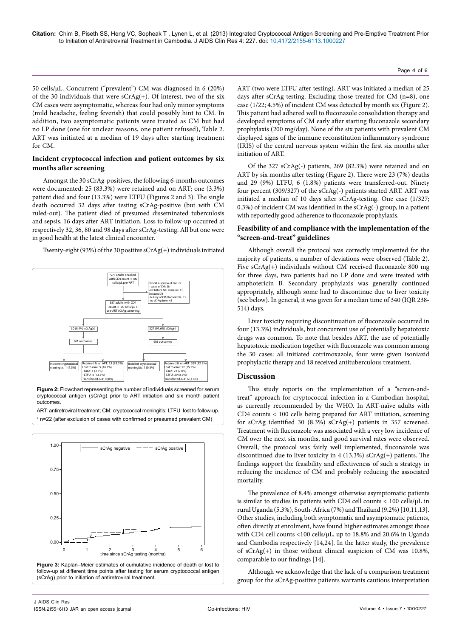50 cells/µL. Concurrent ("prevalent") CM was diagnosed in 6 (20%) of the 30 individuals that were  $sCrAg(+)$ . Of interest, two of the six CM cases were asymptomatic, whereas four had only minor symptoms (mild headache, feeling feverish) that could possibly hint to CM. In addition, two asymptomatic patients were treated as CM but had no LP done (one for unclear reasons, one patient refused), Table 2. ART was initiated at a median of 19 days after starting treatment for CM.

#### **Incident cryptococcal infection and patient outcomes by six months after screening**

Amongst the 30 sCrAg-positives, the following 6-months outcomes were documented: 25 (83.3%) were retained and on ART; one (3.3%) patient died and four (13.3%) were LTFU (Figures 2 and 3). The single death occurred 32 days after testing sCrAg-positive (but with CM ruled-out). The patient died of presumed disseminated tuberculosis and sepsis, 16 days after ART initiation. Loss to follow-up occurred at respectively 32, 36, 80 and 98 days after sCrAg-testing. All but one were in good health at the latest clinical encounter.

Twenty-eight (93%) of the 30 positive sCrAg(+) individuals initiated



a n=22 (after exclusion of cases with confirmed or presumed prevalent CM)



**Figure 3:** Kaplan–Meier estimates of cumulative incidence of death or lost to follow-up at different time points after testing for serum cryptococcal antigen (sCrAg) prior to initiation of antiretroviral treatment.

ART (two were LTFU after testing). ART was initiated a median of 25 days after sCrAg-testing. Excluding those treated for CM (n=8), one case (1/22; 4.5%) of incident CM was detected by month six (Figure 2). This patient had adhered well to fluconazole consolidation therapy and developed symptoms of CM early after starting fluconazole secondary prophylaxis (200 mg/day). None of the six patients with prevalent CM displayed signs of the immune reconstitution inflammatory syndrome (IRIS) of the central nervous system within the first six months after initiation of ART.

Page 4 of 6

Of the 327 sCrAg(-) patients, 269 (82.3%) were retained and on ART by six months after testing (Figure 2). There were 23 (7%) deaths and 29 (9%) LTFU, 6 (1.8%) patients were transferred-out. Ninety four percent (309/327) of the sCrAg(-) patients started ART. ART was initiated a median of 10 days after sCrAg-testing. One case (1/327; 0.3%) of incident CM was identified in the sCrAg(-) group, in a patient with reportedly good adherence to fluconazole prophylaxis.

# **Feasibility of and compliance with the implementation of the "screen-and-treat" guidelines**

Although overall the protocol was correctly implemented for the majority of patients, a number of deviations were observed (Table 2). Five sCrAg(+) individuals without CM received fluconazole 800 mg for three days, two patients had no LP done and were treated with amphotericin B. Secondary prophylaxis was generally continued appropriately, although some had to discontinue due to liver toxicity (see below). In general, it was given for a median time of 340 (IQR 238- 514) days.

Liver toxicity requiring discontinuation of fluconazole occurred in four (13.3%) individuals, but concurrent use of potentially hepatotoxic drugs was common. To note that besides ART, the use of potentially hepatotoxic medication together with fluconazole was common among the 30 cases: all initiated cotrimoxazole, four were given isoniazid prophylactic therapy and 18 received antituberculous treatment.

# **Discussion**

This study reports on the implementation of a "screen-andtreat" approach for cryptococcal infection in a Cambodian hospital, as currently recommended by the WHO. In ART-naïve adults with CD4 counts < 100 cells being prepared for ART initiation, screening for sCrAg identified 30 (8.3%) sCrAg(+) patients in 357 screened. Treatment with fluconazole was associated with a very low incidence of CM over the next six months, and good survival rates were observed. Overall, the protocol was fairly well implemented, fluconazole was discontinued due to liver toxicity in 4 (13.3%) sCrAg(+) patients. The findings support the feasibility and effectiveness of such a strategy in reducing the incidence of CM and probably reducing the associated mortality.

The prevalence of 8.4% amongst otherwise asymptomatic patients is similar to studies in patients with CD4 cell counts  $< 100$  cells/ $\mu$ L in rural Uganda (5.3%), South-Africa (7%) and Thailand (9.2%) [10,11,13]. Other studies, including both symptomatic and asymptomatic patients, often directly at enrolment, have found higher estimates amongst those with CD4 cell counts <100 cells/µL, up to 18.8% and 20.6% in Uganda and Cambodia respectively [14,24]. In the latter study, the prevalence of sCrAg(+) in those without clinical suspicion of CM was 10.8%, comparable to our findings [14].

Although we acknowledge that the lack of a comparison treatment group for the sCrAg-positive patients warrants cautious interpretation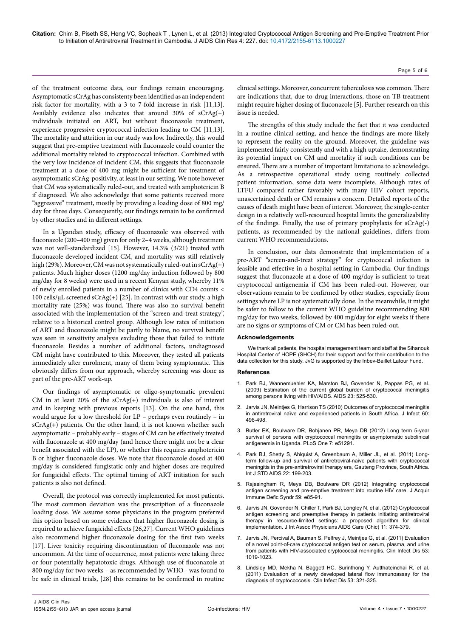**Citation:** Chim B, Piseth SS, Heng VC, Sopheak T , Lynen L, et al. (2013) Integrated Cryptococcal Antigen Screening and Pre-Emptive Treatment Prior to Initiation of Antiretroviral Treatment in Cambodia. J AIDS Clin Res 4: 227. doi: [10.4172/2155-6113.1000](http://dx.doi.org/10.4172/2155-6113.1000227)227

of the treatment outcome data, our findings remain encouraging. Asymptomatic sCrAg has consistenty been identified as an independent risk factor for mortality, with a 3 to 7-fold increase in risk [11,13]. Availably evidence also indicates that around 30% of sCrAg(+) individuals initiated on ART, but without fluconazole treatment, experience progressive cryptococcal infection leading to CM [11,13]. The mortality and attrition in our study was low. Indirectly, this would suggest that pre-emptive treatment with fluconazole could counter the additional mortality related to cryptococcal infection. Combined with the very low incidence of incident CM, this suggests that fluconazole treatment at a dose of 400 mg might be sufficient for treatment of asymptomatic sCrAg-positivity, at least in our setting. We note however that CM was systematically ruled-out, and treated with amphotericin B if diagnosed. We also acknowledge that some patients received more "aggressive" treatment, mostly by providing a loading dose of 800 mg/ day for three days. Consequently, our findings remain to be confirmed by other studies and in different settings.

In a Ugandan study, efficacy of fluconazole was observed with fluconazole (200–400 mg) given for only 2–4 weeks, although treatment was not well-standardized [15]. However, 14.3% (3/21) treated with fluconazole developed incident CM, and mortality was still relatively high (29%). Moreover, CM was not systematically ruled-out in sCrAg(+) patients. Much higher doses (1200 mg/day induction followed by 800 mg/day for 8 weeks) were used in a recent Kenyan study, whereby 11% of newly enrolled patients in a number of clinics with CD4 counts < 100 cells/ $\mu$ L screened sCrAg(+) [25]. In contrast with our study, a high mortality rate (25%) was found. There was also no survival benefit associated with the implementation of the "screen-and-treat strategy", relative to a historical control group. Although low rates of initiation of ART and fluconazole might be partly to blame, no survival benefit was seen in sensitivity analysis excluding those that failed to initiate fluconazole. Besides a number of additional factors, undiagnosed CM might have contributed to this. Moreover, they tested all patients immediately after enrolment, many of them being symptomatic. This obviously differs from our approach, whereby screening was done as part of the pre-ART work-up.

Our findings of asymptomatic or oligo-symptomatic prevalent CM in at least 20% of the sCrAg(+) individuals is also of interest and in keeping with previous reports [13]. On the one hand, this would argue for a low threshold for LP – perhaps even routinely – in sCrAg(+) patients. On the other hand, it is not known whether such asymptomatic – probably early – stages of CM can be effectively treated with fluconazole at 400 mg/day (and hence there might not be a clear benefit associated with the LP), or whether this requires amphotericin B or higher fluconazole doses. We note that fluconazole dosed at 400 mg/day is considered fungistatic only and higher doses are required for fungicidal effects. The optimal timing of ART initiation for such patients is also not defined.

Overall, the protocol was correctly implemented for most patients. The most common deviation was the prescription of a fluconazole loading dose. We assume some physicians in the program preferred this option based on some evidence that higher fluconazole dosing is required to achieve fungicidal effects [26,27]. Current WHO guidelines also recommend higher fluconazole dosing for the first two weeks [17]. Liver toxicity requiring discontinuation of fluconazole was not uncommon. At the time of occurrence, most patients were taking three or four potentially hepatotoxic drugs. Although use of fluconazole at 800 mg/day for two weeks – as recommended by WHO - was found to be safe in clinical trials, [28] this remains to be confirmed in routine

clinical settings. Moreover, concurrent tuberculosis was common. There are indications that, due to drug interactions, those on TB treatment might require higher dosing of fluconazole [5]. Further research on this issue is needed.

Page 5 of 6

The strengths of this study include the fact that it was conducted in a routine clinical setting, and hence the findings are more likely to represent the reality on the ground. Moreover, the guideline was implemented fairly consistently and with a high uptake, demonstrating its potential impact on CM and mortality if such conditions can be ensured. There are a number of important limitations to acknowledge. As a retrospective operational study using routinely collected patient information, some data were incomplete. Although rates of LTFU compared rather favorably with many HIV cohort reports, unascertained death or CM remains a concern. Detailed reports of the causes of death might have been of interest. Moreover, the single-center design in a relatively well-resourced hospital limits the generalizability of the findings. Finally, the use of primary prophylaxis for sCrAg(-) patients, as recommended by the national guidelines, differs from current WHO recommendations.

In conclusion, our data demonstrate that implementation of a pre-ART "screen-and-treat strategy" for cryptococcal infection is feasible and effective in a hospital setting in Cambodia. Our findings suggest that fluconazole at a dose of 400 mg/day is sufficient to treat cryptococcal antigenemia if CM has been ruled-out. However, our observations remain to be confirmed by other studies, especially from settings where LP is not systematically done. In the meanwhile, it might be safer to follow to the current WHO guideline recommending 800 mg/day for two weeks, followed by 400 mg/day for eight weeks if there are no signs or symptoms of CM or CM has been ruled-out.

#### **Acknowledgements**

We thank all patients, the hospital management team and staff at the Sihanouk Hospital Center of HOPE (SHCH) for their support and for their contribution to the data collection for this study. JvG is supported by the Inbev-Baillet Latour Fund.

#### **References**

- 1. [Park BJ, Wannemuehler KA, Marston BJ, Govender N, Pappas PG, et al.](http://www.ncbi.nlm.nih.gov/pubmed/19182676)  [\(2009\) Estimation of the current global burden of cryptococcal meningitis](http://www.ncbi.nlm.nih.gov/pubmed/19182676)  [among persons living with HIV/AIDS. AIDS 23: 525-530.](http://www.ncbi.nlm.nih.gov/pubmed/19182676)
- 2. [Jarvis JN, Meintjes G, Harrison TS \(2010\) Outcomes of cryptococcal meningitis](http://www.ncbi.nlm.nih.gov/pubmed/20307571)  [in antiretroviral naïve and experienced patients in South Africa. J Infect 60:](http://www.ncbi.nlm.nih.gov/pubmed/20307571)  [496-498.](http://www.ncbi.nlm.nih.gov/pubmed/20307571)
- 3. [Butler EK, Boulware DR, Bohjanen PR, Meya DB \(2012\) Long term 5-year](http://www.ncbi.nlm.nih.gov/pubmed/23251485)  [survival of persons with cryptococcal meningitis or asymptomatic subclinical](http://www.ncbi.nlm.nih.gov/pubmed/23251485)  [antigenemia in Uganda. PLoS One 7: e51291.](http://www.ncbi.nlm.nih.gov/pubmed/23251485)
- 4. [Park BJ, Shetty S, Ahlquist A, Greenbaum A, Miller JL, et al. \(2011\) Long](http://www.ncbi.nlm.nih.gov/pubmed/21515751)[term follow-up and survival of antiretroviral-naive patients with cryptococcal](http://www.ncbi.nlm.nih.gov/pubmed/21515751)  [meningitis in the pre-antiretroviral therapy era, Gauteng Province, South Africa.](http://www.ncbi.nlm.nih.gov/pubmed/21515751)  [Int J STD AIDS 22: 199-203.](http://www.ncbi.nlm.nih.gov/pubmed/21515751)
- 5. [Rajasingham R, Meya DB, Boulware DR \(2012\) Integrating cryptococcal](http://www.ncbi.nlm.nih.gov/pubmed/22410867)  [antigen screening and pre-emptive treatment into routine HIV care. J Acquir](http://www.ncbi.nlm.nih.gov/pubmed/22410867)  [Immune Defic Syndr 59: e85-91.](http://www.ncbi.nlm.nih.gov/pubmed/22410867)
- 6. [Jarvis JN, Govender N, Chiller T, Park BJ, Longley N, et al. \(2012\) Cryptococcal](http://www.ncbi.nlm.nih.gov/pubmed/23015379)  [antigen screening and preemptive therapy in patients initiating antiretroviral](http://www.ncbi.nlm.nih.gov/pubmed/23015379)  [therapy in resource-limited settings: a proposed algorithm for clinical](http://www.ncbi.nlm.nih.gov/pubmed/23015379)  [implementation. J Int Assoc Physicians AIDS Care \(Chic\) 11: 374-379.](http://www.ncbi.nlm.nih.gov/pubmed/23015379)
- 7. [Jarvis JN, Percival A, Bauman S, Pelfrey J, Meintjes G, et al. \(2011\) Evaluation](http://www.ncbi.nlm.nih.gov/pubmed/21940419)  [of a novel point-of-care cryptococcal antigen test on serum, plasma, and urine](http://www.ncbi.nlm.nih.gov/pubmed/21940419)  [from patients with HIV-associated cryptococcal meningitis. Clin Infect Dis 53:](http://www.ncbi.nlm.nih.gov/pubmed/21940419)  [1019-1023.](http://www.ncbi.nlm.nih.gov/pubmed/21940419)
- 8. [Lindsley MD, Mekha N, Baggett HC, Surinthong Y, Autthateinchai R, et al.](http://www.ncbi.nlm.nih.gov/pubmed/21810743)  [\(2011\) Evaluation of a newly developed lateral flow immunoassay for the](http://www.ncbi.nlm.nih.gov/pubmed/21810743)  [diagnosis of cryptococcosis. Clin Infect Dis 53: 321-325.](http://www.ncbi.nlm.nih.gov/pubmed/21810743)